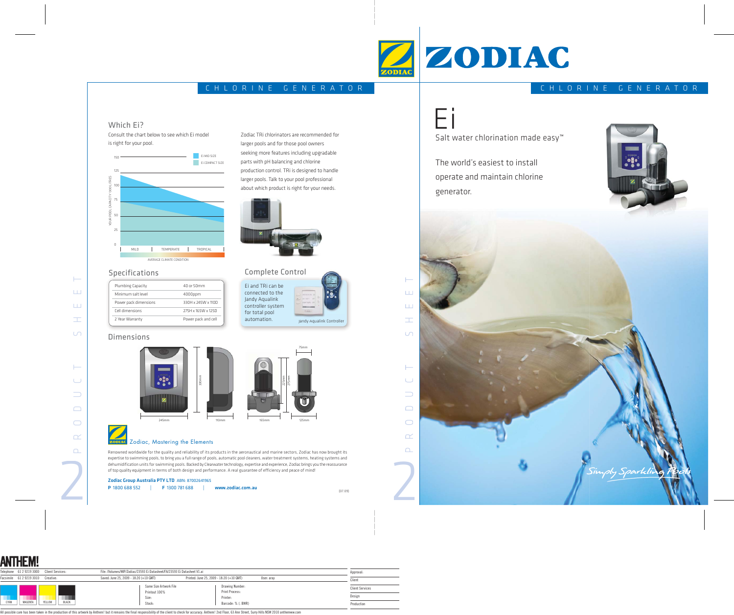Ei and TRi can be connected to the Jandy Aqualink controller system for total pool automation.

#### **ZODIAC** Zodiac, Mastering the Elements

Zodiac TRi chlorinators are recommended for

larger pools and for those pool owners seeking more features including upgradable

parts with pH balancing and chlorine

production control. TRi is designed to handle larger pools. Talk to your pool professional about which product is right for your needs.

Complete Control lete

### Which Ei?

Consult the chart below to see which Ei model is right for your pool.

Zodiac Group Australia PTY LTD ABN: 87002641965 P 1800 688 552 | F 1300 781 688 | www.zodiac.com.au Jandy Aqualink Controller



| Plumbing Capacity     | 40 or 50mm          |
|-----------------------|---------------------|
| Minimum salt level    | $4000$ ppm          |
| Power pack dimensions | 330H x 245W x 110D  |
| Cell dimensions       | 275H x 165W x 125D  |
| 2 Year Warranty       | Power pack and cell |
|                       |                     |

#### **Dimensions**

Renowned worldwide for the quality and reliability of its products in the aeronautical and marine sectors, Zodiac has now brought its expertise to swimming pools, to bring you a full range of pools, automatic pool cleaners, water treatment systems, heating systems and dehumidification units for swimming pools. Backed by Clearwater technology, expertise and experience, Zodiac brings you the reassurance of top quality equipment in terms of both design and performance. A real guarantee of efficiency and peace of mind!

#### Specifications







Salt water chlorination made easy<sup>™</sup>

The world's easiest to install operate and maintain chlorine generator.







## CHLORINE GENERATOR



| CHLORINE GENERATOR |  |  |  |  |  |  |  |  |
|--------------------|--|--|--|--|--|--|--|--|
|                    |  |  |  |  |  |  |  |  |